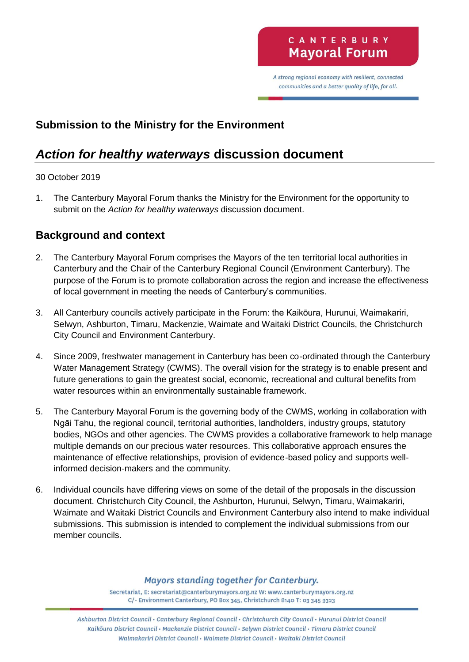A strong regional economy with resilient, connected communities and a better quality of life, for all.

## **Submission to the Ministry for the Environment**

# *Action for healthy waterways* **discussion document**

#### 30 October 2019

1. The Canterbury Mayoral Forum thanks the Ministry for the Environment for the opportunity to submit on the *Action for healthy waterways* discussion document.

## **Background and context**

- 2. The Canterbury Mayoral Forum comprises the Mayors of the ten territorial local authorities in Canterbury and the Chair of the Canterbury Regional Council (Environment Canterbury). The purpose of the Forum is to promote collaboration across the region and increase the effectiveness of local government in meeting the needs of Canterbury's communities.
- 3. All Canterbury councils actively participate in the Forum: the Kaikōura, Hurunui, Waimakariri, Selwyn, Ashburton, Timaru, Mackenzie, Waimate and Waitaki District Councils, the Christchurch City Council and Environment Canterbury.
- 4. Since 2009, freshwater management in Canterbury has been co-ordinated through the Canterbury Water Management Strategy (CWMS). The overall vision for the strategy is to enable present and future generations to gain the greatest social, economic, recreational and cultural benefits from water resources within an environmentally sustainable framework.
- 5. The Canterbury Mayoral Forum is the governing body of the CWMS, working in collaboration with Ngāi Tahu, the regional council, territorial authorities, landholders, industry groups, statutory bodies, NGOs and other agencies. The CWMS provides a collaborative framework to help manage multiple demands on our precious water resources. This collaborative approach ensures the maintenance of effective relationships, provision of evidence-based policy and supports wellinformed decision-makers and the community.
- 6. Individual councils have differing views on some of the detail of the proposals in the discussion document. Christchurch City Council, the Ashburton, Hurunui, Selwyn, Timaru, Waimakariri, Waimate and Waitaki District Councils and Environment Canterbury also intend to make individual submissions. This submission is intended to complement the individual submissions from our member councils.

#### **Mayors standing together for Canterbury.**

Secretariat, E: secretariat@canterburymayors.org.nz W: www.canterburymayors.org.nz C/- Environment Canterbury, PO Box 345, Christchurch 8140 T: 03 345 9323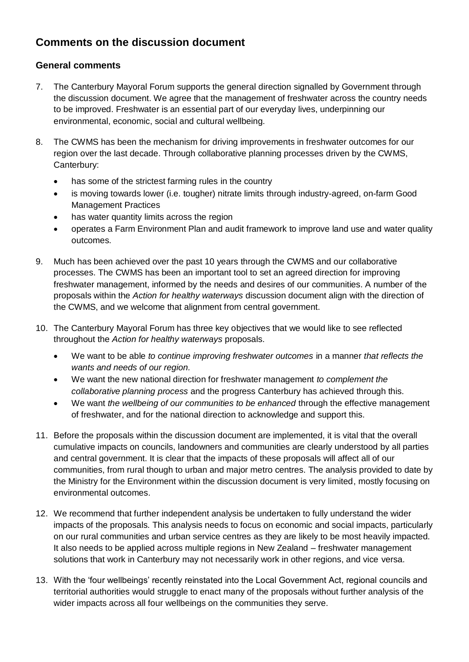# **Comments on the discussion document**

#### **General comments**

- 7. The Canterbury Mayoral Forum supports the general direction signalled by Government through the discussion document. We agree that the management of freshwater across the country needs to be improved. Freshwater is an essential part of our everyday lives, underpinning our environmental, economic, social and cultural wellbeing.
- 8. The CWMS has been the mechanism for driving improvements in freshwater outcomes for our region over the last decade. Through collaborative planning processes driven by the CWMS, Canterbury:
	- has some of the strictest farming rules in the country
	- is moving towards lower (i.e. tougher) nitrate limits through industry-agreed, on-farm Good Management Practices
	- has water quantity limits across the region
	- operates a Farm Environment Plan and audit framework to improve land use and water quality outcomes.
- 9. Much has been achieved over the past 10 years through the CWMS and our collaborative processes. The CWMS has been an important tool to set an agreed direction for improving freshwater management, informed by the needs and desires of our communities. A number of the proposals within the *Action for healthy waterways* discussion document align with the direction of the CWMS, and we welcome that alignment from central government.
- 10. The Canterbury Mayoral Forum has three key objectives that we would like to see reflected throughout the *Action for healthy waterways* proposals.
	- We want to be able *to continue improving freshwater outcomes* in a manner *that reflects the wants and needs of our region.*
	- We want the new national direction for freshwater management *to complement the collaborative planning process* and the progress Canterbury has achieved through this.
	- We want *the wellbeing of our communities to be enhanced* through the effective management of freshwater, and for the national direction to acknowledge and support this.
- 11. Before the proposals within the discussion document are implemented, it is vital that the overall cumulative impacts on councils, landowners and communities are clearly understood by all parties and central government. It is clear that the impacts of these proposals will affect all of our communities, from rural though to urban and major metro centres. The analysis provided to date by the Ministry for the Environment within the discussion document is very limited, mostly focusing on environmental outcomes.
- 12. We recommend that further independent analysis be undertaken to fully understand the wider impacts of the proposals. This analysis needs to focus on economic and social impacts, particularly on our rural communities and urban service centres as they are likely to be most heavily impacted. It also needs to be applied across multiple regions in New Zealand – freshwater management solutions that work in Canterbury may not necessarily work in other regions, and vice versa.
- 13. With the 'four wellbeings' recently reinstated into the Local Government Act, regional councils and territorial authorities would struggle to enact many of the proposals without further analysis of the wider impacts across all four wellbeings on the communities they serve.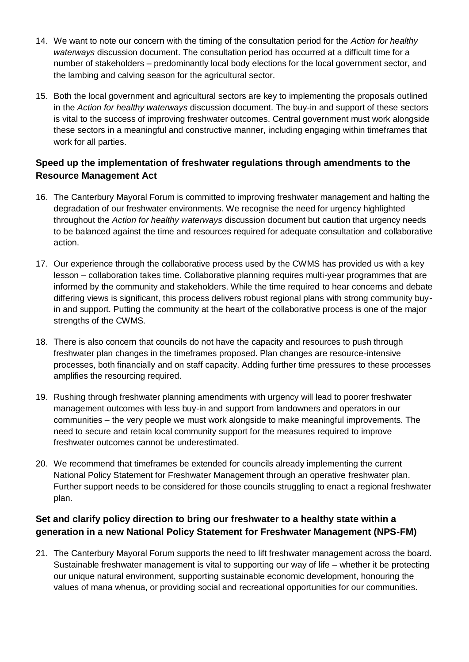- 14. We want to note our concern with the timing of the consultation period for the *Action for healthy waterways* discussion document. The consultation period has occurred at a difficult time for a number of stakeholders – predominantly local body elections for the local government sector, and the lambing and calving season for the agricultural sector.
- 15. Both the local government and agricultural sectors are key to implementing the proposals outlined in the *Action for healthy waterways* discussion document. The buy-in and support of these sectors is vital to the success of improving freshwater outcomes. Central government must work alongside these sectors in a meaningful and constructive manner, including engaging within timeframes that work for all parties.

### **Speed up the implementation of freshwater regulations through amendments to the Resource Management Act**

- 16. The Canterbury Mayoral Forum is committed to improving freshwater management and halting the degradation of our freshwater environments. We recognise the need for urgency highlighted throughout the *Action for healthy waterways* discussion document but caution that urgency needs to be balanced against the time and resources required for adequate consultation and collaborative action.
- 17. Our experience through the collaborative process used by the CWMS has provided us with a key lesson – collaboration takes time. Collaborative planning requires multi-year programmes that are informed by the community and stakeholders. While the time required to hear concerns and debate differing views is significant, this process delivers robust regional plans with strong community buyin and support. Putting the community at the heart of the collaborative process is one of the major strengths of the CWMS.
- 18. There is also concern that councils do not have the capacity and resources to push through freshwater plan changes in the timeframes proposed. Plan changes are resource-intensive processes, both financially and on staff capacity. Adding further time pressures to these processes amplifies the resourcing required.
- 19. Rushing through freshwater planning amendments with urgency will lead to poorer freshwater management outcomes with less buy-in and support from landowners and operators in our communities – the very people we must work alongside to make meaningful improvements. The need to secure and retain local community support for the measures required to improve freshwater outcomes cannot be underestimated.
- 20. We recommend that timeframes be extended for councils already implementing the current National Policy Statement for Freshwater Management through an operative freshwater plan. Further support needs to be considered for those councils struggling to enact a regional freshwater plan.

### **Set and clarify policy direction to bring our freshwater to a healthy state within a generation in a new National Policy Statement for Freshwater Management (NPS-FM)**

21. The Canterbury Mayoral Forum supports the need to lift freshwater management across the board. Sustainable freshwater management is vital to supporting our way of life – whether it be protecting our unique natural environment, supporting sustainable economic development, honouring the values of mana whenua, or providing social and recreational opportunities for our communities.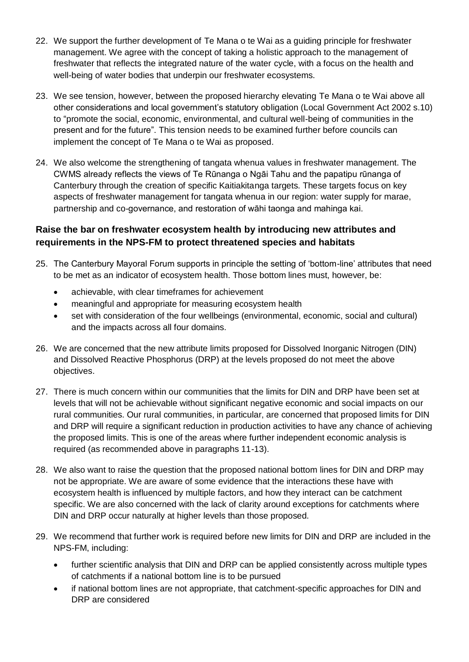- 22. We support the further development of Te Mana o te Wai as a guiding principle for freshwater management. We agree with the concept of taking a holistic approach to the management of freshwater that reflects the integrated nature of the water cycle, with a focus on the health and well-being of water bodies that underpin our freshwater ecosystems.
- 23. We see tension, however, between the proposed hierarchy elevating Te Mana o te Wai above all other considerations and local government's statutory obligation (Local Government Act 2002 s.10) to "promote the social, economic, environmental, and cultural well-being of communities in the present and for the future". This tension needs to be examined further before councils can implement the concept of Te Mana o te Wai as proposed.
- 24. We also welcome the strengthening of tangata whenua values in freshwater management. The CWMS already reflects the views of Te Rūnanga o Ngāi Tahu and the papatipu rūnanga of Canterbury through the creation of specific Kaitiakitanga targets. These targets focus on key aspects of freshwater management for tangata whenua in our region: water supply for marae, partnership and co-governance, and restoration of wāhi taonga and mahinga kai.

### **Raise the bar on freshwater ecosystem health by introducing new attributes and requirements in the NPS-FM to protect threatened species and habitats**

- 25. The Canterbury Mayoral Forum supports in principle the setting of 'bottom-line' attributes that need to be met as an indicator of ecosystem health. Those bottom lines must, however, be:
	- achievable, with clear timeframes for achievement
	- meaningful and appropriate for measuring ecosystem health
	- set with consideration of the four wellbeings (environmental, economic, social and cultural) and the impacts across all four domains.
- 26. We are concerned that the new attribute limits proposed for Dissolved Inorganic Nitrogen (DIN) and Dissolved Reactive Phosphorus (DRP) at the levels proposed do not meet the above objectives.
- 27. There is much concern within our communities that the limits for DIN and DRP have been set at levels that will not be achievable without significant negative economic and social impacts on our rural communities. Our rural communities, in particular, are concerned that proposed limits for DIN and DRP will require a significant reduction in production activities to have any chance of achieving the proposed limits. This is one of the areas where further independent economic analysis is required (as recommended above in paragraphs 11-13).
- 28. We also want to raise the question that the proposed national bottom lines for DIN and DRP may not be appropriate. We are aware of some evidence that the interactions these have with ecosystem health is influenced by multiple factors, and how they interact can be catchment specific. We are also concerned with the lack of clarity around exceptions for catchments where DIN and DRP occur naturally at higher levels than those proposed.
- 29. We recommend that further work is required before new limits for DIN and DRP are included in the NPS-FM, including:
	- further scientific analysis that DIN and DRP can be applied consistently across multiple types of catchments if a national bottom line is to be pursued
	- if national bottom lines are not appropriate, that catchment-specific approaches for DIN and DRP are considered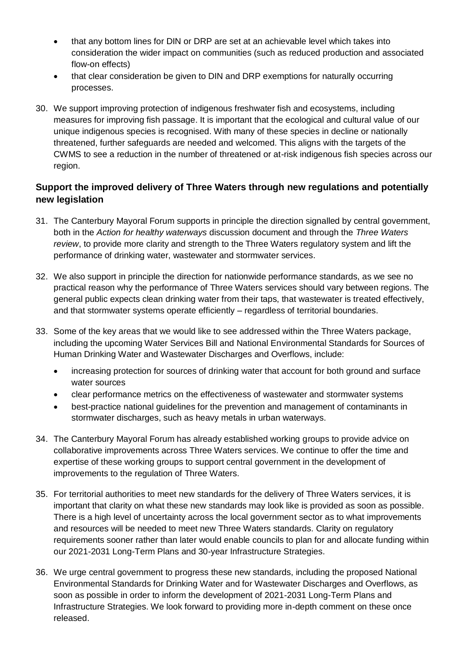- that any bottom lines for DIN or DRP are set at an achievable level which takes into consideration the wider impact on communities (such as reduced production and associated flow-on effects)
- that clear consideration be given to DIN and DRP exemptions for naturally occurring processes.
- 30. We support improving protection of indigenous freshwater fish and ecosystems, including measures for improving fish passage. It is important that the ecological and cultural value of our unique indigenous species is recognised. With many of these species in decline or nationally threatened, further safeguards are needed and welcomed. This aligns with the targets of the CWMS to see a reduction in the number of threatened or at-risk indigenous fish species across our region.

#### **Support the improved delivery of Three Waters through new regulations and potentially new legislation**

- 31. The Canterbury Mayoral Forum supports in principle the direction signalled by central government, both in the *Action for healthy waterways* discussion document and through the *Three Waters review*, to provide more clarity and strength to the Three Waters regulatory system and lift the performance of drinking water, wastewater and stormwater services.
- 32. We also support in principle the direction for nationwide performance standards, as we see no practical reason why the performance of Three Waters services should vary between regions. The general public expects clean drinking water from their taps, that wastewater is treated effectively, and that stormwater systems operate efficiently – regardless of territorial boundaries.
- 33. Some of the key areas that we would like to see addressed within the Three Waters package, including the upcoming Water Services Bill and National Environmental Standards for Sources of Human Drinking Water and Wastewater Discharges and Overflows, include:
	- increasing protection for sources of drinking water that account for both ground and surface water sources
	- clear performance metrics on the effectiveness of wastewater and stormwater systems
	- best-practice national guidelines for the prevention and management of contaminants in stormwater discharges, such as heavy metals in urban waterways.
- 34. The Canterbury Mayoral Forum has already established working groups to provide advice on collaborative improvements across Three Waters services. We continue to offer the time and expertise of these working groups to support central government in the development of improvements to the regulation of Three Waters.
- 35. For territorial authorities to meet new standards for the delivery of Three Waters services, it is important that clarity on what these new standards may look like is provided as soon as possible. There is a high level of uncertainty across the local government sector as to what improvements and resources will be needed to meet new Three Waters standards. Clarity on regulatory requirements sooner rather than later would enable councils to plan for and allocate funding within our 2021-2031 Long-Term Plans and 30-year Infrastructure Strategies.
- 36. We urge central government to progress these new standards, including the proposed National Environmental Standards for Drinking Water and for Wastewater Discharges and Overflows, as soon as possible in order to inform the development of 2021-2031 Long-Term Plans and Infrastructure Strategies. We look forward to providing more in-depth comment on these once released.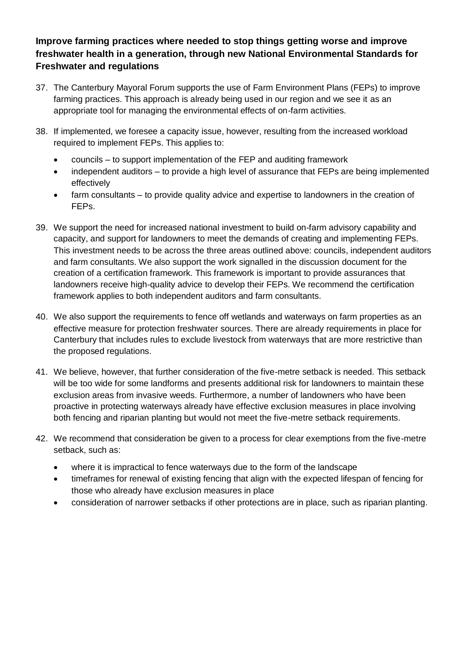#### **Improve farming practices where needed to stop things getting worse and improve freshwater health in a generation, through new National Environmental Standards for Freshwater and regulations**

- 37. The Canterbury Mayoral Forum supports the use of Farm Environment Plans (FEPs) to improve farming practices. This approach is already being used in our region and we see it as an appropriate tool for managing the environmental effects of on-farm activities.
- 38. If implemented, we foresee a capacity issue, however, resulting from the increased workload required to implement FEPs. This applies to:
	- councils to support implementation of the FEP and auditing framework
	- independent auditors to provide a high level of assurance that FEPs are being implemented effectively
	- farm consultants to provide quality advice and expertise to landowners in the creation of FEPs.
- 39. We support the need for increased national investment to build on-farm advisory capability and capacity, and support for landowners to meet the demands of creating and implementing FEPs. This investment needs to be across the three areas outlined above: councils, independent auditors and farm consultants. We also support the work signalled in the discussion document for the creation of a certification framework. This framework is important to provide assurances that landowners receive high-quality advice to develop their FEPs. We recommend the certification framework applies to both independent auditors and farm consultants.
- 40. We also support the requirements to fence off wetlands and waterways on farm properties as an effective measure for protection freshwater sources. There are already requirements in place for Canterbury that includes rules to exclude livestock from waterways that are more restrictive than the proposed regulations.
- 41. We believe, however, that further consideration of the five-metre setback is needed. This setback will be too wide for some landforms and presents additional risk for landowners to maintain these exclusion areas from invasive weeds. Furthermore, a number of landowners who have been proactive in protecting waterways already have effective exclusion measures in place involving both fencing and riparian planting but would not meet the five-metre setback requirements.
- 42. We recommend that consideration be given to a process for clear exemptions from the five-metre setback, such as:
	- where it is impractical to fence waterways due to the form of the landscape
	- timeframes for renewal of existing fencing that align with the expected lifespan of fencing for those who already have exclusion measures in place
	- consideration of narrower setbacks if other protections are in place, such as riparian planting.